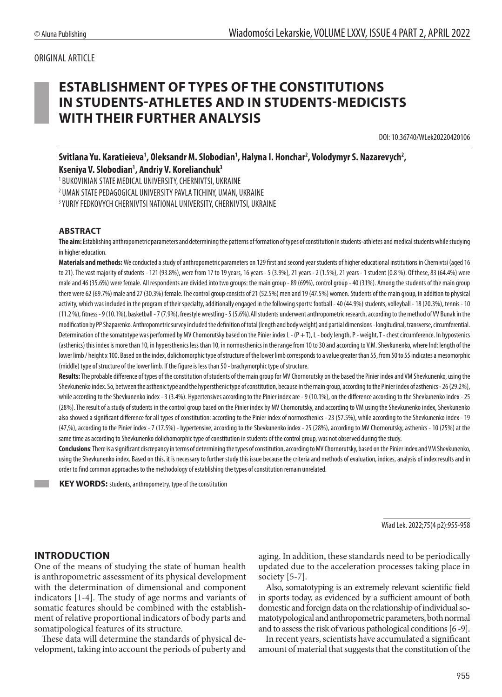#### ORIGINAL ARTICLE

# **ESTABLISHMENT OF TYPES OF THE CONSTITUTIONS IN STUDENTS-ATHLETES AND IN STUDENTS-MEDICISTS WITH THEIR FURTHER ANALYSIS**

DOI: 10.36740/WLek20220420106

Svitlana Yu. Karatieieva<sup>1</sup>, Oleksandr M. Slobodian<sup>1</sup>, Halyna I. Honchar<sup>2</sup>, Volodymyr S. Nazarevych<sup>2</sup>, **Kseniya V. Slobodian1 , Andriy V. Korelianchuk3**

1 BUKOVINIAN STATE MEDICAL UNIVERSITY, CHERNIVTSI, UKRAINE

2 UMAN STATE PEDAGOGICAL UNIVERSITY PAVLA TICHINY, UMAN, UKRAINE

3 YURIY FEDKOVYCH CHERNIVTSI NATIONAL UNIVERSITY, CHERNIVTSI, UKRAINE

#### **ABSTRACT**

**The aim:** Establishing anthropometric parameters and determining the patterns of formation of types of constitution in students-athletes and medical students while studying in higher education.

**Materials and methods:** We conducted a study of anthropometric parameters on 129 first and second year students of higher educational institutions in Chernivtsi (aged 16 to 21). The vast majority of students - 121 (93.8%), were from 17 to 19 years, 16 years - 5 (3.9%), 21 years - 2 (1.5%), 21 years - 1 student (0.8 %). Of these, 83 (64.4%) were male and 46 (35.6%) were female. All respondents are divided into two groups: the main group - 89 (69%), control group - 40 (31%). Among the students of the main group there were 62 (69.7%) male and 27 (30.3%) female. The control group consists of 21 (52.5%) men and 19 (47.5%) women. Students of the main group, in addition to physical activity, which was included in the program of their specialty, additionally engaged in the following sports: football - 40 (44.9%) students, volleyball - 18 (20.3%), tennis - 10 (11.2 %), fitness - 9 (10.1%), basketball - 7 (7.9%), freestyle wrestling - 5 (5.6%).All students underwent anthropometric research, according to the method of VV Bunak in the modification by PP Shaparenko. Anthropometric survey included the definition of total (length and body weight) and partial dimensions - longitudinal, transverse, circumferential. Determination of the somatotype was performed by MV Chornorutsky based on the Pinier index L - (P + T), L - body length, P - weight, T - chest circumference. In hypostenics (asthenics) this index is more than 10, in hypersthenics less than 10, in normosthenics in the range from 10 to 30 and according to V.M. Shevkunenko, where Ind: length of the lower limb / height x 100. Based on the index, dolichomorphic type of structure of the lower limb corresponds to a value greater than 55, from 50 to 55 indicates a mesomorphic (middle) type of structure of the lower limb. If the figure is less than 50 - brachymorphic type of structure.

**Results:** The probable difference of types of the constitution of students of the main group for MV Chornorutsky on the based the Pinier index and VM Shevkunenko, using the Shevkunenko index. So, between the asthenic type and the hypersthenic type of constitution, because in the main group, according to the Pinier index of asthenics - 26 (29.2%), while according to the Shevkunenko index - 3 (3.4%). Hypertensives according to the Pinier index are - 9 (10.1%), on the difference according to the Shevkunenko index - 25 (28%). The result of a study of students in the control group based on the Pinier index by MV Chornorutsky, and according to VM using the Shevkunenko index, Shevkunenko also showed a significant difference for all types of constitution: according to the Pinier index of normosthenics - 23 (57.5%), while according to the Shevkunenko index - 19 (47,%), according to the Pinier index - 7 (17.5%) - hypertensive, according to the Shevkunenko index - 25 (28%), according to MV Chornorutsky, asthenics - 10 (25%) at the same time as according to Shevkunenko dolichomorphic type of constitution in students of the control group, was not observed during the study.

**Conclusions**: There is a significant discrepancy in terms of determining the types of constitution, according to MV Chornorutsky, based on the Pinier index and VM Shevkunenko, using the Shevkunenko index. Based on this, it is necessary to further study this issue because the criteria and methods of evaluation, indices, analysis of index results and in order to find common approaches to the methodology of establishing the types of constitution remain unrelated.

**KEY WORDS:** students, anthropometry, type of the constitution

Wiad Lek. 2022;75(4 p2):955-958

#### **INTRODUCTION**

One of the means of studying the state of human health is anthropometric assessment of its physical development with the determination of dimensional and component indicators [1-4]. The study of age norms and variants of somatic features should be combined with the establishment of relative proportional indicators of body parts and somatipological features of its structure.

These data will determine the standards of physical development, taking into account the periods of puberty and aging. In addition, these standards need to be periodically updated due to the acceleration processes taking place in society [5-7].

Also, somatotyping is an extremely relevant scientific field in sports today, as evidenced by a sufficient amount of both domestic and foreign data on the relationship of individual somatotypological and anthropometric parameters, both normal and to assess the risk of various pathological conditions [6 -9].

In recent years, scientists have accumulated a significant amount of material that suggests that the constitution of the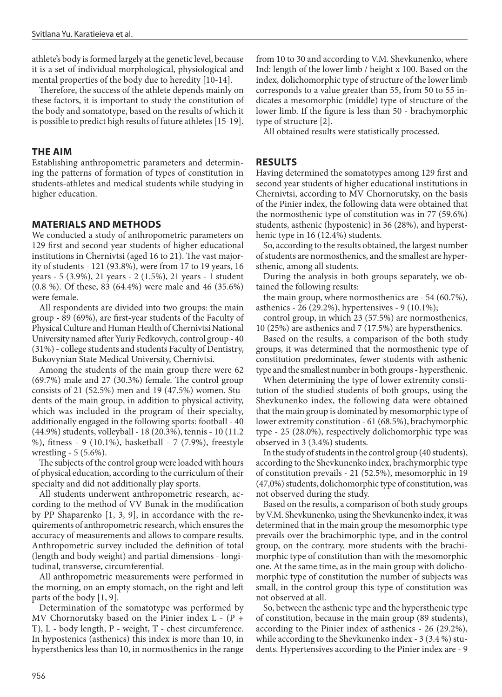athlete's body is formed largely at the genetic level, because it is a set of individual morphological, physiological and mental properties of the body due to heredity [10-14].

Therefore, the success of the athlete depends mainly on these factors, it is important to study the constitution of the body and somatotype, based on the results of which it is possible to predict high results of future athletes [15-19].

#### **THE AIM**

Establishing anthropometric parameters and determining the patterns of formation of types of constitution in students-athletes and medical students while studying in higher education.

## **MATERIALS AND METHODS**

We conducted a study of anthropometric parameters on 129 first and second year students of higher educational institutions in Chernivtsi (aged 16 to 21). The vast majority of students - 121 (93.8%), were from 17 to 19 years, 16 years - 5 (3.9%), 21 years - 2 (1.5%), 21 years - 1 student (0.8 %). Of these, 83 (64.4%) were male and 46 (35.6%) were female.

All respondents are divided into two groups: the main group - 89 (69%), are first-year students of the Faculty of Physical Culture and Human Health of Chernivtsi National University named after Yuriy Fedkovych, control group - 40 (31%) - college students and students Faculty of Dentistry, Bukovynian State Medical University, Chernivtsi.

Among the students of the main group there were 62 (69.7%) male and 27 (30.3%) female. The control group consists of 21 (52.5%) men and 19 (47.5%) women. Students of the main group, in addition to physical activity, which was included in the program of their specialty, additionally engaged in the following sports: football - 40 (44.9%) students, volleyball - 18 (20.3%), tennis - 10 (11.2 %), fitness - 9 (10.1%), basketball - 7 (7.9%), freestyle wrestling - 5 (5.6%).

The subjects of the control group were loaded with hours of physical education, according to the curriculum of their specialty and did not additionally play sports.

All students underwent anthropometric research, according to the method of VV Bunak in the modification by PP Shaparenko [1, 3, 9], in accordance with the requirements of anthropometric research, which ensures the accuracy of measurements and allows to compare results. Anthropometric survey included the definition of total (length and body weight) and partial dimensions - longitudinal, transverse, circumferential.

All anthropometric measurements were performed in the morning, on an empty stomach, on the right and left parts of the body [1, 9].

Determination of the somatotype was performed by MV Chornorutsky based on the Pinier index L - (P + T), L - body length, P - weight, T - chest circumference. In hypostenics (asthenics) this index is more than 10, in hypersthenics less than 10, in normosthenics in the range from 10 to 30 and according to V.M. Shevkunenko, where Ind: length of the lower limb / height x 100. Based on the index, dolichomorphic type of structure of the lower limb corresponds to a value greater than 55, from 50 to 55 indicates a mesomorphic (middle) type of structure of the lower limb. If the figure is less than 50 - brachymorphic type of structure [2].

All obtained results were statistically processed.

## **RESULTS**

Having determined the somatotypes among 129 first and second year students of higher educational institutions in Chernivtsi, according to MV Chornorutsky, on the basis of the Pinier index, the following data were obtained that the normosthenic type of constitution was in 77 (59.6%) students, asthenic (hypostenic) in 36 (28%), and hypersthenic type in 16 (12.4%) students.

So, according to the results obtained, the largest number of students are normosthenics, and the smallest are hypersthenic, among all students.

During the analysis in both groups separately, we obtained the following results:

the main group, where normosthenics are - 54 (60.7%), asthenics - 26 (29.2%), hypertensives - 9 (10.1%);

control group, in which 23 (57.5%) are normosthenics, 10 (25%) are asthenics and 7 (17.5%) are hypersthenics.

Based on the results, a comparison of the both study groups, it was determined that the normosthenic type of constitution predominates, fewer students with asthenic type and the smallest number in both groups - hypersthenic.

When determining the type of lower extremity constitution of the studied students of both groups, using the Shevkunenko index, the following data were obtained that the main group is dominated by mesomorphic type of lower extremity constitution - 61 (68.5%), brachymorphic type - 25 (28.0%), respectively dolichomorphic type was observed in 3 (3.4%) students.

In the study of students in the control group (40 students), according to the Shevkunenko index, brachymorphic type of constitution prevails - 21 (52.5%), mesomorphic in 19 (47,0%) students, dolichomorphic type of constitution, was not observed during the study.

Based on the results, a comparison of both study groups by V.M. Shevkunenko, using the Shevkunenko index, it was determined that in the main group the mesomorphic type prevails over the brachimorphic type, and in the control group, on the contrary, more students with the brachimorphic type of constitution than with the mesomorphic one. At the same time, as in the main group with dolichomorphic type of constitution the number of subjects was small, in the control group this type of constitution was not observed at all.

So, between the asthenic type and the hypersthenic type of constitution, because in the main group (89 students), according to the Pinier index of asthenics - 26 (29.2%), while according to the Shevkunenko index - 3 (3.4 %) students. Hypertensives according to the Pinier index are - 9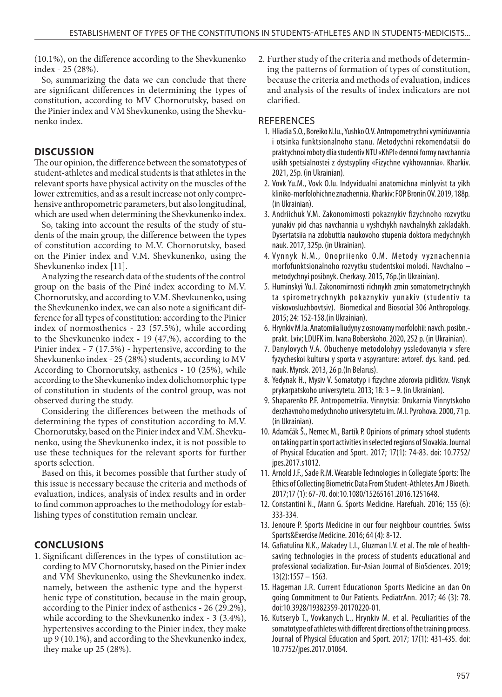(10.1%), on the difference according to the Shevkunenko index - 25 (28%).

So, summarizing the data we can conclude that there are significant differences in determining the types of constitution, according to MV Chornorutsky, based on the Pinier index and VM Shevkunenko, using the Shevkunenko index.

## **DISCUSSION**

The our opinion, the difference between the somatotypes of student-athletes and medical students is that athletes in the relevant sports have physical activity on the muscles of the lower extremities, and as a result increase not only comprehensive anthropometric parameters, but also longitudinal, which are used when determining the Shevkunenko index.

So, taking into account the results of the study of students of the main group, the difference between the types of constitution according to M.V. Chornorutsky, based on the Pinier index and V.M. Shevkunenko, using the Shevkunenko index [11].

Analyzing the research data of the students of the control group on the basis of the Piné index according to M.V. Chornorutsky, and according to V.M. Shevkunenko, using the Shevkunenko index, we can also note a significant difference for all types of constitution: according to the Pinier index of normosthenics - 23 (57.5%), while according to the Shevkunenko index - 19 (47,%), according to the Pinier index - 7 (17.5%) - hypertensive, according to the Shevkunenko index - 25 (28%) students, according to MV According to Chornorutsky, asthenics - 10 (25%), while according to the Shevkunenko index dolichomorphic type of constitution in students of the control group, was not observed during the study.

Considering the differences between the methods of determining the types of constitution according to M.V. Chornorutsky, based on the Pinier index and V.M. Shevkunenko, using the Shevkunenko index, it is not possible to use these techniques for the relevant sports for further sports selection.

Based on this, it becomes possible that further study of this issue is necessary because the criteria and methods of evaluation, indices, analysis of index results and in order to find common approaches to the methodology for establishing types of constitution remain unclear.

## **CONCLUSIONS**

1. Significant differences in the types of constitution according to MV Chornorutsky, based on the Pinier index and VM Shevkunenko, using the Shevkunenko index. namely, between the asthenic type and the hypersthenic type of constitution, because in the main group, according to the Pinier index of asthenics - 26 (29.2%), while according to the Shevkunenko index - 3 (3.4%), hypertensives according to the Pinier index, they make up 9 (10.1%), and according to the Shevkunenko index, they make up 25 (28%).

2. Further study of the criteria and methods of determining the patterns of formation of types of constitution, because the criteria and methods of evaluation, indices and analysis of the results of index indicators are not clarified.

## **REFERENCES**

- 1. Hliadia S.O., Boreiko N.Iu., Yushko O.V. Antropometrychni vymiriuvannia i otsinka funktsionalnoho stanu. Metodychni rekomendatsii do praktychnoi roboty dlia studentiv NTU «KhPI» dennoi formy navchannia usikh spetsialnostei z dystsypliny «Fizychne vykhovannia». Kharkiv. 2021, 25p. (in Ukrainian).
- 2. Vovk Yu.M., Vovk O.Iu. Indyvidualni anatomichna minlyvist ta yikh kliniko-morfolohichne znachennia. Kharkiv: FOP Bronin OV. 2019, 188p. (in Ukrainian).
- 3. Andriichuk V.M. Zakonomirnosti pokaznykiv fizychnoho rozvytku yunakiv pid chas navchannia u vyshchykh navchalnykh zakladakh. Dysertatsiia na zdobuttia naukovoho stupenia doktora medychnykh nauk. 2017, 325p. (in Ukrainian).
- 4. Vynnyk N.M., Onopriienko O.M. Metody vyznachennia morfofunktsionalnoho rozvytku studentskoi molodi. Navchalno – metodychnyi posibnyk. Cherkasy. 2015, 76p.(in Ukrainian).
- 5. Huminskyi Yu.I. Zakonomirnosti richnykh zmin somatometrychnykh ta spirometrychnykh pokaznykiv yunakiv (studentiv ta viiskovosluzhbovtsiv). Biomedical and Biosocial 306 Anthropology. 2015; 24: 152-158.(in Ukrainian).
- 6. Hrynkiv M.Ia. Anatomiia liudyny z osnovamy morfolohii: navch. posibn. prakt. Lviv; LDUFK im. Ivana Boberskoho. 2020, 252 p. (in Ukrainian).
- 7. Danylovych V.A. Obuchenye metodolohyy yssledovanyia v sfere fyzycheskoi kulturы y sporta v aspyranture: avtoref. dys. kand. ped. nauk. Mynsk. 2013, 26 p.(In Belarus).
- 8. Yedynak H., Mysiv V. Somatotyp i fizychne zdorovia pidlitkiv. Visnyk prykarpatskoho universytetu. 2013; 18: 3 – 9. (in Ukrainian).
- 9. Shaparenko P.F. Antropometriia. Vinnytsia: Drukarnia Vinnytskoho derzhavnoho medychnoho universytetu im. M.I. Pyrohova. 2000, 71 p. (in Ukrainian).
- 10. Adamčák Š., Nemec M., Bartík P. Opinions of primary school students on taking part in sport activities in selected regions of Slovakia. Journal of Physical Education and Sport. 2017; 17(1): 74-83. doi: 10.7752/ jpes.2017.s1012.
- 11. Arnold J.F., Sade R.M. Wearable Technologies in Collegiate Sports: The Ethics of Collecting Biometric Data From Student-Athletes.Am J Bioeth. 2017;17 (1): 67-70. doi:10.1080/15265161.2016.1251648.
- 12. Constantini N., Mann G. Sports Medicine. Harefuah. 2016; 155 (6): 333-334.
- 13. Jenoure P. Sports Medicine in our four neighbour countries. Swiss Sports&Exercise Medicine. 2016; 64 (4): 8-12.
- 14. Gafiatulina N.K., Makadey L.I., Gluzman I.V. et al. The role of healthsaving technologies in the process of students educational and professional socialization. Eur-Asian Journal of BioSciences. 2019; 13(2):1557 – 1563.
- 15. Hageman J.R. Current Educationon Sports Medicine an dan On going Commitment to Our Patients. PediatrAnn. 2017; 46 (3): 78. doi:10.3928/19382359-20170220-01.
- 16. Kutseryb T., Vovkanych L., Hrynkiv M. еt al. Peculiarities of the somatotype of athletes with different directions of the training process. Journal of Physical Education and Sport. 2017; 17(1): 431-435. doi: 10.7752/jpes.2017.01064.